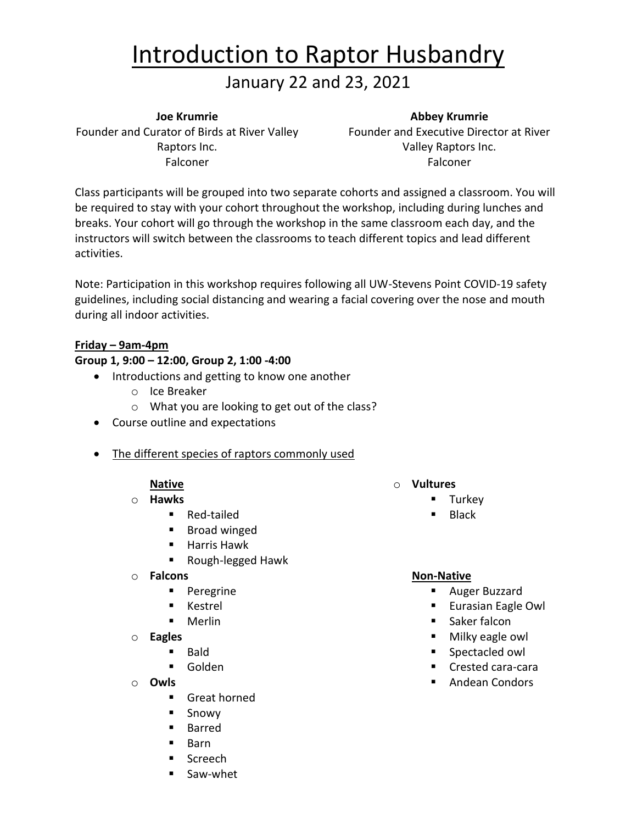# Introduction to Raptor Husbandry

### January 22 and 23, 2021

#### **Joe Krumrie**

Founder and Curator of Birds at River Valley Founder and Executive Director at River Raptors Inc. Falconer

#### **Abbey Krumrie**

Valley Raptors Inc. Falconer

Class participants will be grouped into two separate cohorts and assigned a classroom. You will be required to stay with your cohort throughout the workshop, including during lunches and breaks. Your cohort will go through the workshop in the same classroom each day, and the instructors will switch between the classrooms to teach different topics and lead different activities.

Note: Participation in this workshop requires following all UW-Stevens Point COVID-19 safety guidelines, including social distancing and wearing a facial covering over the nose and mouth during all indoor activities.

#### **Friday – 9am-4pm**

#### **Group 1, 9:00 – 12:00, Group 2, 1:00 -4:00**

- Introductions and getting to know one another
	- o Ice Breaker
	- o What you are looking to get out of the class?
- Course outline and expectations
- The different species of raptors commonly used

#### **Native**

#### o **Hawks**

- Red-tailed
- Broad winged
- Harris Hawk
- Rough-legged Hawk
- o **Falcons**
	- Peregrine
	- Kestrel
	- Merlin
- o **Eagles**
	- **Bald**
	- Golden
- o **Owls**
	- Great horned
	- Snowy
	- Barred
	- **Barn**
	- Screech
	- Saw-whet
- o **Vultures**
	- Turkey
	- **Black**

#### **Non-Native**

- Auger Buzzard
- Eurasian Eagle Owl
- Saker falcon
- Milky eagle owl
- Spectacled owl
- Crested cara-cara
- Andean Condors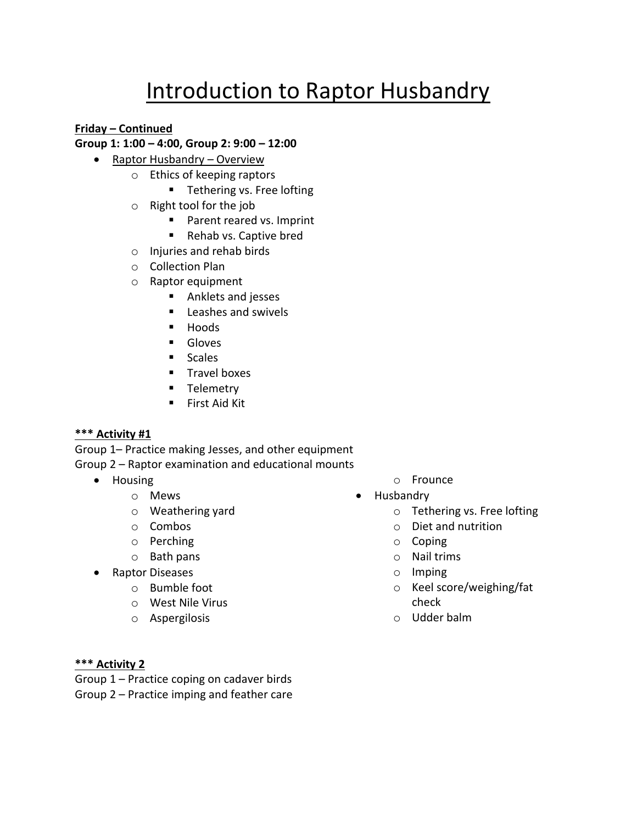## Introduction to Raptor Husbandry

**Friday – Continued**

#### **Group 1: 1:00 – 4:00, Group 2: 9:00 – 12:00**

- Raptor Husbandry Overview
	- o Ethics of keeping raptors
		- Tethering vs. Free lofting
	- o Right tool for the job
		- Parent reared vs. Imprint
		- Rehab vs. Captive bred
	- o Injuries and rehab birds
	- o Collection Plan
	- o Raptor equipment
		- Anklets and jesses
		- Leashes and swivels
		- Hoods
		- Gloves
		- Scales
		- Travel boxes
		- **■** Telemetry
		- First Aid Kit

#### **\*\*\* Activity #1**

Group 1– Practice making Jesses, and other equipment Group 2 – Raptor examination and educational mounts

- Housing
	- o Mews
	- o Weathering yard
	- o Combos
	- o Perching
	- o Bath pans
- Raptor Diseases
	- o Bumble foot
	- o West Nile Virus
	- o Aspergilosis
- o Frounce
- Husbandry
	- o Tethering vs. Free lofting
	- o Diet and nutrition
	- o Coping
	- o Nail trims
	- o Imping
	- o Keel score/weighing/fat check
	- o Udder balm

#### **\*\*\* Activity 2**

Group 1 – Practice coping on cadaver birds Group 2 – Practice imping and feather care